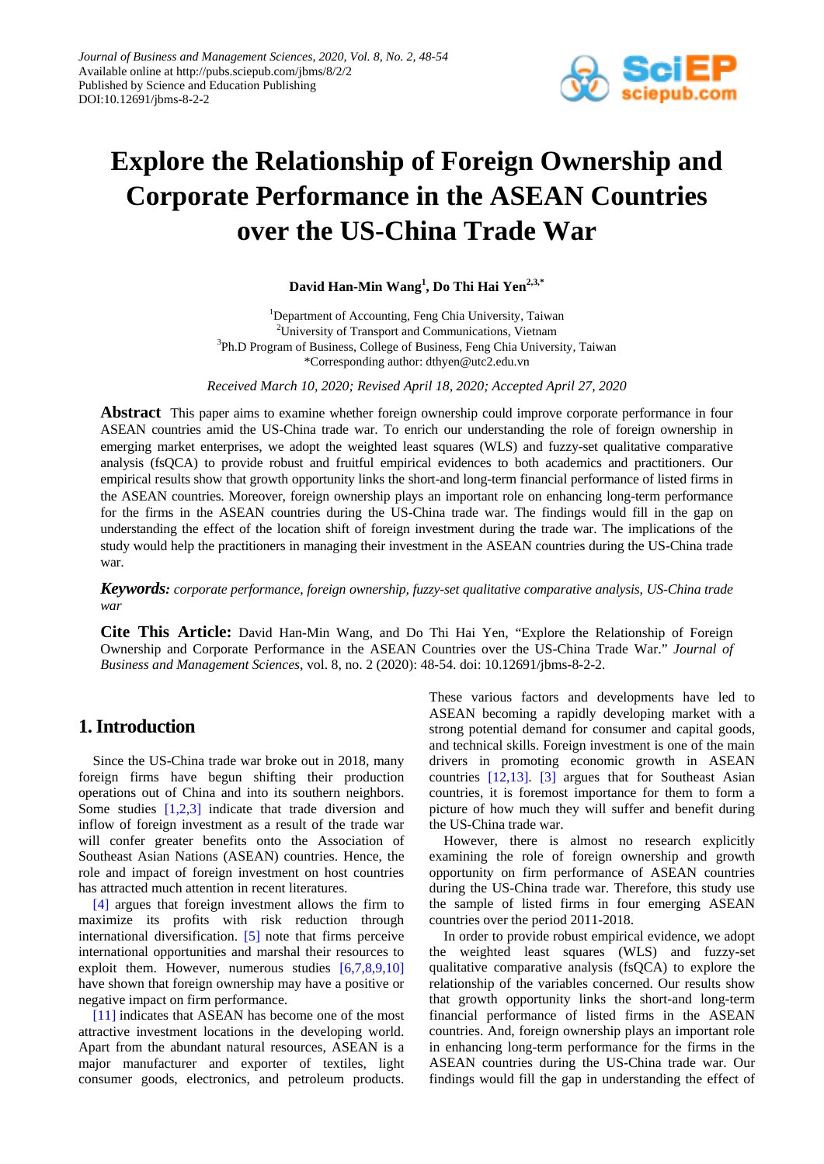

# **Explore the Relationship of Foreign Ownership and Corporate Performance in the ASEAN Countries over the US-China Trade War**

**David Han-Min Wang<sup>1</sup> , Do Thi Hai Yen2,3,\***

<sup>1</sup>Department of Accounting, Feng Chia University, Taiwan 2 University of Transport and Communications, Vietnam <sup>3</sup>Ph.D Program of Business, College of Business, Feng Chia University, Taiwan \*Corresponding author: dthyen@utc2.edu.vn

*Received March 10, 2020; Revised April 18, 2020; Accepted April 27, 2020*

**Abstract** This paper aims to examine whether foreign ownership could improve corporate performance in four ASEAN countries amid the US-China trade war. To enrich our understanding the role of foreign ownership in emerging market enterprises, we adopt the weighted least squares (WLS) and fuzzy-set qualitative comparative analysis (fsQCA) to provide robust and fruitful empirical evidences to both academics and practitioners. Our empirical results show that growth opportunity links the short-and long-term financial performance of listed firms in the ASEAN countries. Moreover, foreign ownership plays an important role on enhancing long-term performance for the firms in the ASEAN countries during the US-China trade war. The findings would fill in the gap on understanding the effect of the location shift of foreign investment during the trade war. The implications of the study would help the practitioners in managing their investment in the ASEAN countries during the US-China trade war.

*Keywords: corporate performance, foreign ownership, fuzzy-set qualitative comparative analysis, US-China trade war*

**Cite This Article:** David Han-Min Wang, and Do Thi Hai Yen, "Explore the Relationship of Foreign Ownership and Corporate Performance in the ASEAN Countries over the US-China Trade War." *Journal of Business and Management Sciences*, vol. 8, no. 2 (2020): 48-54. doi: 10.12691/jbms-8-2-2.

## **1. Introduction**

Since the US-China trade war broke out in 2018, many foreign firms have begun shifting their production operations out of China and into its southern neighbors. Some studies [\[1,2,3\]](#page-5-0) indicate that trade diversion and inflow of foreign investment as a result of the trade war will confer greater benefits onto the Association of Southeast Asian Nations (ASEAN) countries. Hence, the role and impact of foreign investment on host countries has attracted much attention in recent literatures.

[\[4\]](#page-5-1) argues that foreign investment allows the firm to maximize its profits with risk reduction through international diversification. [\[5\]](#page-5-2) note that firms perceive international opportunities and marshal their resources to exploit them. However, numerous studies [\[6,7,8,9,10\]](#page-5-3) have shown that foreign ownership may have a positive or negative impact on firm performance.

[\[11\]](#page-5-4) indicates that ASEAN has become one of the most attractive investment locations in the developing world. Apart from the abundant natural resources, ASEAN is a major manufacturer and exporter of textiles, light consumer goods, electronics, and petroleum products.

These various factors and developments have led to ASEAN becoming a rapidly developing market with a strong potential demand for consumer and capital goods, and technical skills. Foreign investment is one of the main drivers in promoting economic growth in ASEAN countries [\[12,13\].](#page-5-5) [\[3\]](#page-5-6) argues that for Southeast Asian countries, it is foremost importance for them to form a picture of how much they will suffer and benefit during the US-China trade war.

However, there is almost no research explicitly examining the role of foreign ownership and growth opportunity on firm performance of ASEAN countries during the US-China trade war. Therefore, this study use the sample of listed firms in four emerging ASEAN countries over the period 2011-2018.

In order to provide robust empirical evidence, we adopt the weighted least squares (WLS) and fuzzy-set qualitative comparative analysis (fsQCA) to explore the relationship of the variables concerned. Our results show that growth opportunity links the short-and long-term financial performance of listed firms in the ASEAN countries. And, foreign ownership plays an important role in enhancing long-term performance for the firms in the ASEAN countries during the US-China trade war. Our findings would fill the gap in understanding the effect of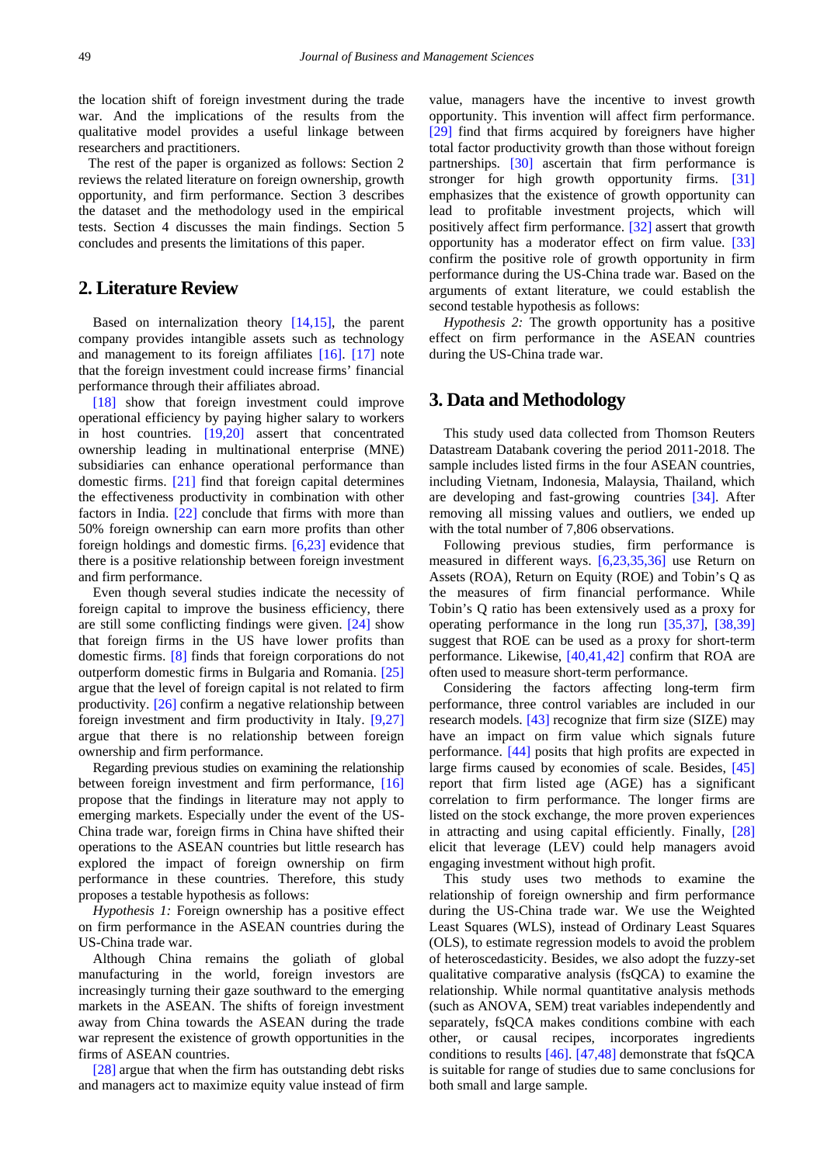the location shift of foreign investment during the trade war. And the implications of the results from the qualitative model provides a useful linkage between researchers and practitioners.

The rest of the paper is organized as follows: Section 2 reviews the related literature on foreign ownership, growth opportunity, and firm performance. Section 3 describes the dataset and the methodology used in the empirical tests. Section 4 discusses the main findings. Section 5 concludes and presents the limitations of this paper.

#### **2. Literature Review**

Based on internalization theory [\[14,15\],](#page-5-7) the parent company provides intangible assets such as technology and management to its foreign affiliates [\[16\].](#page-5-8) [\[17\]](#page-5-9) note that the foreign investment could increase firms' financial performance through their affiliates abroad.

[\[18\]](#page-5-10) show that foreign investment could improve operational efficiency by paying higher salary to workers in host countries. [\[19,20\]](#page-5-11) assert that concentrated ownership leading in multinational enterprise (MNE) subsidiaries can enhance operational performance than domestic firms. [\[21\]](#page-5-12) find that foreign capital determines the effectiveness productivity in combination with other factors in India. [\[22\]](#page-5-13) conclude that firms with more than 50% foreign ownership can earn more profits than other foreign holdings and domestic firms. [\[6,23\]](#page-5-3) evidence that there is a positive relationship between foreign investment and firm performance.

Even though several studies indicate the necessity of foreign capital to improve the business efficiency, there are still some conflicting findings were given. [\[24\]](#page-5-14) show that foreign firms in the US have lower profits than domestic firms. [\[8\]](#page-5-15) finds that foreign corporations do not outperform domestic firms in Bulgaria and Romania. [\[25\]](#page-5-16) argue that the level of foreign capital is not related to firm productivity. [\[26\]](#page-5-17) confirm a negative relationship between foreign investment and firm productivity in Italy. [\[9,27\]](#page-5-18) argue that there is no relationship between foreign ownership and firm performance.

Regarding previous studies on examining the relationship between foreign investment and firm performance, [\[16\]](#page-5-8) propose that the findings in literature may not apply to emerging markets. Especially under the event of the US-China trade war, foreign firms in China have shifted their operations to the ASEAN countries but little research has explored the impact of foreign ownership on firm performance in these countries. Therefore, this study proposes a testable hypothesis as follows:

*Hypothesis 1:* Foreign ownership has a positive effect on firm performance in the ASEAN countries during the US-China trade war.

Although China remains the goliath of global manufacturing in the world, foreign investors are increasingly turning their gaze southward to the emerging markets in the ASEAN. The shifts of foreign investment away from China towards the ASEAN during the trade war represent the existence of growth opportunities in the firms of ASEAN countries.

[\[28\]](#page-5-19) argue that when the firm has outstanding debt risks and managers act to maximize equity value instead of firm value, managers have the incentive to invest growth opportunity. This invention will affect firm performance. [\[29\]](#page-5-20) find that firms acquired by foreigners have higher total factor productivity growth than those without foreign partnerships. [\[30\]](#page-5-21) ascertain that firm performance is stronger for high growth opportunity firms. [\[31\]](#page-5-22) emphasizes that the existence of growth opportunity can lead to profitable investment projects, which will positively affect firm performance. [\[32\]](#page-5-23) assert that growth opportunity has a moderator effect on firm value. [\[33\]](#page-5-24) confirm the positive role of growth opportunity in firm performance during the US-China trade war. Based on the arguments of extant literature, we could establish the second testable hypothesis as follows:

*Hypothesis 2:* The growth opportunity has a positive effect on firm performance in the ASEAN countries during the US-China trade war.

#### **3. Data and Methodology**

This study used data collected from Thomson Reuters Datastream Databank covering the period 2011-2018. The sample includes listed firms in the four ASEAN countries, including Vietnam, Indonesia, Malaysia, Thailand, which are developing and fast-growing countries [\[34\].](#page-5-25) After removing all missing values and outliers, we ended up with the total number of 7,806 observations.

Following previous studies, firm performance is measured in different ways. [\[6,23,35,36\]](#page-5-3) use Return on Assets (ROA), Return on Equity (ROE) and Tobin's Q as the measures of firm financial performance. While Tobin's Q ratio has been extensively used as a proxy for operating performance in the long run [\[35,37\],](#page-5-26) [\[38,39\]](#page-6-0) suggest that ROE can be used as a proxy for short-term performance. Likewise, [\[40,41,42\]](#page-6-1) confirm that ROA are often used to measure short-term performance.

Considering the factors affecting long-term firm performance, three control variables are included in our research models. [\[43\]](#page-6-2) recognize that firm size (SIZE) may have an impact on firm value which signals future performance. [\[44\]](#page-6-3) posits that high profits are expected in large firms caused by economies of scale. Besides, [\[45\]](#page-6-4) report that firm listed age (AGE) has a significant correlation to firm performance. The longer firms are listed on the stock exchange, the more proven experiences in attracting and using capital efficiently. Finally, [\[28\]](#page-5-19) elicit that leverage (LEV) could help managers avoid engaging investment without high profit.

This study uses two methods to examine the relationship of foreign ownership and firm performance during the US-China trade war. We use the Weighted Least Squares (WLS), instead of Ordinary Least Squares (OLS), to estimate regression models to avoid the problem of heteroscedasticity. Besides, we also adopt the fuzzy-set qualitative comparative analysis (fsQCA) to examine the relationship. While normal quantitative analysis methods (such as ANOVA, SEM) treat variables independently and separately, fsQCA makes conditions combine with each other, or causal recipes, incorporates ingredients conditions to results [\[46\].](#page-6-5) [\[47,48\]](#page-6-6) demonstrate that fsQCA is suitable for range of studies due to same conclusions for both small and large sample.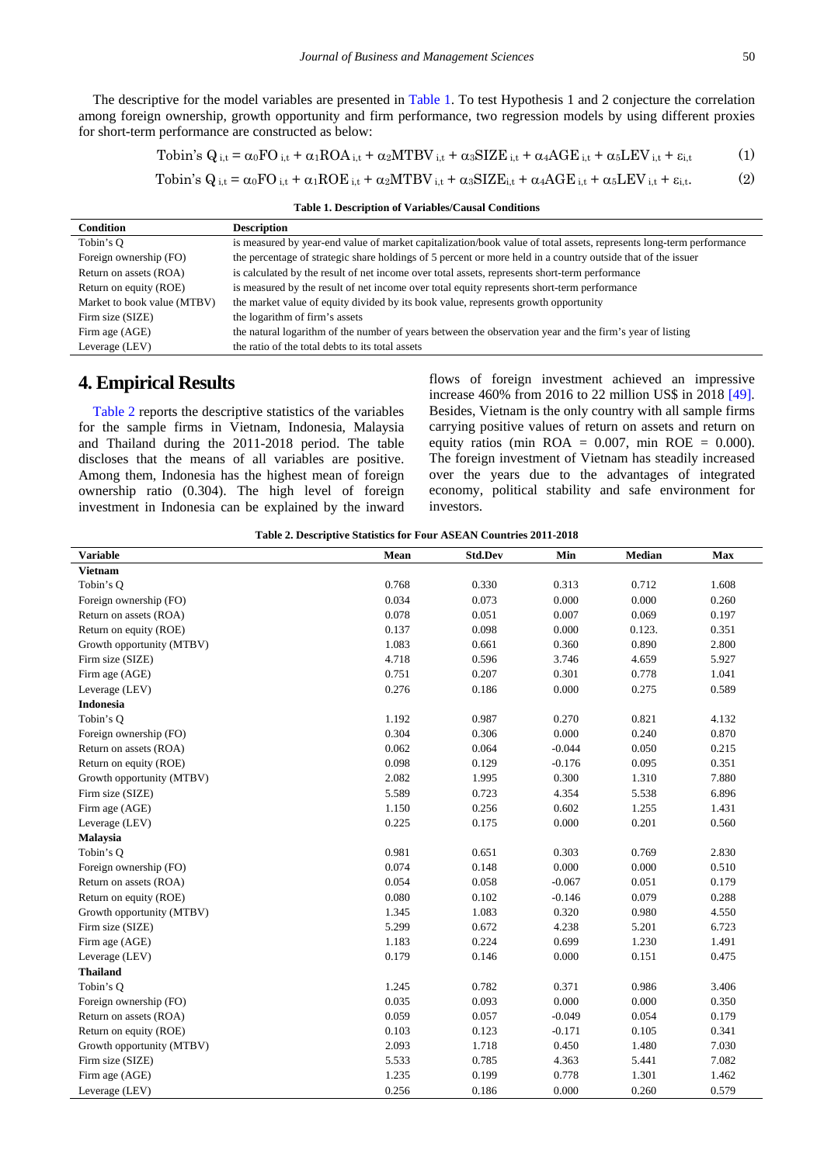The descriptive for the model variables are presented in [Table 1.](#page-2-0) To test Hypothesis 1 and 2 conjecture the correlation among foreign ownership, growth opportunity and firm performance, two regression models by using different proxies for short-term performance are constructed as below:

$$
\text{Tobin's } Q_{i,t} = \alpha_0 \text{FO}_{i,t} + \alpha_1 \text{ROA}_{i,t} + \alpha_2 \text{MTBV}_{i,t} + \alpha_3 \text{SIZE}_{i,t} + \alpha_4 \text{AGE}_{i,t} + \alpha_5 \text{LEV}_{i,t} + \epsilon_{i,t} \tag{1}
$$

$$
\text{Tobin's } Q_{i,t} = \alpha_0 \text{FO}_{i,t} + \alpha_1 \text{ROE}_{i,t} + \alpha_2 \text{MTBV}_{i,t} + \alpha_3 \text{SIZE}_{i,t} + \alpha_4 \text{AGE}_{i,t} + \alpha_5 \text{LEV}_{i,t} + \epsilon_{i,t}.\tag{2}
$$

**Table 1. Description of Variables/Causal Conditions**

<span id="page-2-0"></span>

| <b>Condition</b>            | <b>Description</b>                                                                                                  |
|-----------------------------|---------------------------------------------------------------------------------------------------------------------|
| Tobin's O                   | is measured by year-end value of market capitalization/book value of total assets, represents long-term performance |
| Foreign ownership (FO)      | the percentage of strategic share holdings of 5 percent or more held in a country outside that of the issuer        |
| Return on assets (ROA)      | is calculated by the result of net income over total assets, represents short-term performance                      |
| Return on equity (ROE)      | is measured by the result of net income over total equity represents short-term performance                         |
| Market to book value (MTBV) | the market value of equity divided by its book value, represents growth opportunity                                 |
| Firm size (SIZE)            | the logarithm of firm's assets                                                                                      |
| Firm age (AGE)              | the natural logarithm of the number of years between the observation year and the firm's year of listing            |
| Leverage (LEV)              | the ratio of the total debts to its total assets                                                                    |

#### **4. Empirical Results**

[Table 2](#page-2-1) reports the descriptive statistics of the variables for the sample firms in Vietnam, Indonesia, Malaysia and Thailand during the 2011-2018 period. The table discloses that the means of all variables are positive. Among them, Indonesia has the highest mean of foreign ownership ratio (0.304). The high level of foreign investment in Indonesia can be explained by the inward flows of foreign investment achieved an impressive increase 460% from 2016 to 22 million US\$ in 2018 [\[49\].](#page-6-7) Besides, Vietnam is the only country with all sample firms carrying positive values of return on assets and return on equity ratios (min ROA =  $0.007$ , min ROE =  $0.000$ ). The foreign investment of Vietnam has steadily increased over the years due to the advantages of integrated economy, political stability and safe environment for investors.

| Table 2. Descriptive Statistics for Four ASEAN Countries 2011-2018 |  |  |
|--------------------------------------------------------------------|--|--|
|--------------------------------------------------------------------|--|--|

<span id="page-2-1"></span>

| <b>Variable</b>           | Mean  | <b>Std.Dev</b> | Min      | Median | Max   |
|---------------------------|-------|----------------|----------|--------|-------|
| <b>Vietnam</b>            |       |                |          |        |       |
| Tobin's Q                 | 0.768 | 0.330          | 0.313    | 0.712  | 1.608 |
| Foreign ownership (FO)    | 0.034 | 0.073          | 0.000    | 0.000  | 0.260 |
| Return on assets (ROA)    | 0.078 | 0.051          | 0.007    | 0.069  | 0.197 |
| Return on equity (ROE)    | 0.137 | 0.098          | 0.000    | 0.123. | 0.351 |
| Growth opportunity (MTBV) | 1.083 | 0.661          | 0.360    | 0.890  | 2.800 |
| Firm size (SIZE)          | 4.718 | 0.596          | 3.746    | 4.659  | 5.927 |
| Firm age (AGE)            | 0.751 | 0.207          | 0.301    | 0.778  | 1.041 |
| Leverage (LEV)            | 0.276 | 0.186          | 0.000    | 0.275  | 0.589 |
| <b>Indonesia</b>          |       |                |          |        |       |
| Tobin's Q                 | 1.192 | 0.987          | 0.270    | 0.821  | 4.132 |
| Foreign ownership (FO)    | 0.304 | 0.306          | 0.000    | 0.240  | 0.870 |
| Return on assets (ROA)    | 0.062 | 0.064          | $-0.044$ | 0.050  | 0.215 |
| Return on equity (ROE)    | 0.098 | 0.129          | $-0.176$ | 0.095  | 0.351 |
| Growth opportunity (MTBV) | 2.082 | 1.995          | 0.300    | 1.310  | 7.880 |
| Firm size (SIZE)          | 5.589 | 0.723          | 4.354    | 5.538  | 6.896 |
| Firm age (AGE)            | 1.150 | 0.256          | 0.602    | 1.255  | 1.431 |
| Leverage (LEV)            | 0.225 | 0.175          | 0.000    | 0.201  | 0.560 |
| Malaysia                  |       |                |          |        |       |
| Tobin's Q                 | 0.981 | 0.651          | 0.303    | 0.769  | 2.830 |
| Foreign ownership (FO)    | 0.074 | 0.148          | 0.000    | 0.000  | 0.510 |
| Return on assets (ROA)    | 0.054 | 0.058          | $-0.067$ | 0.051  | 0.179 |
| Return on equity (ROE)    | 0.080 | 0.102          | $-0.146$ | 0.079  | 0.288 |
| Growth opportunity (MTBV) | 1.345 | 1.083          | 0.320    | 0.980  | 4.550 |
| Firm size (SIZE)          | 5.299 | 0.672          | 4.238    | 5.201  | 6.723 |
| Firm age (AGE)            | 1.183 | 0.224          | 0.699    | 1.230  | 1.491 |
| Leverage (LEV)            | 0.179 | 0.146          | 0.000    | 0.151  | 0.475 |
| <b>Thailand</b>           |       |                |          |        |       |
| Tobin's Q                 | 1.245 | 0.782          | 0.371    | 0.986  | 3.406 |
| Foreign ownership (FO)    | 0.035 | 0.093          | 0.000    | 0.000  | 0.350 |
| Return on assets (ROA)    | 0.059 | 0.057          | $-0.049$ | 0.054  | 0.179 |
| Return on equity (ROE)    | 0.103 | 0.123          | $-0.171$ | 0.105  | 0.341 |
| Growth opportunity (MTBV) | 2.093 | 1.718          | 0.450    | 1.480  | 7.030 |
| Firm size (SIZE)          | 5.533 | 0.785          | 4.363    | 5.441  | 7.082 |
| Firm age (AGE)            | 1.235 | 0.199          | 0.778    | 1.301  | 1.462 |
| Leverage (LEV)            | 0.256 | 0.186          | 0.000    | 0.260  | 0.579 |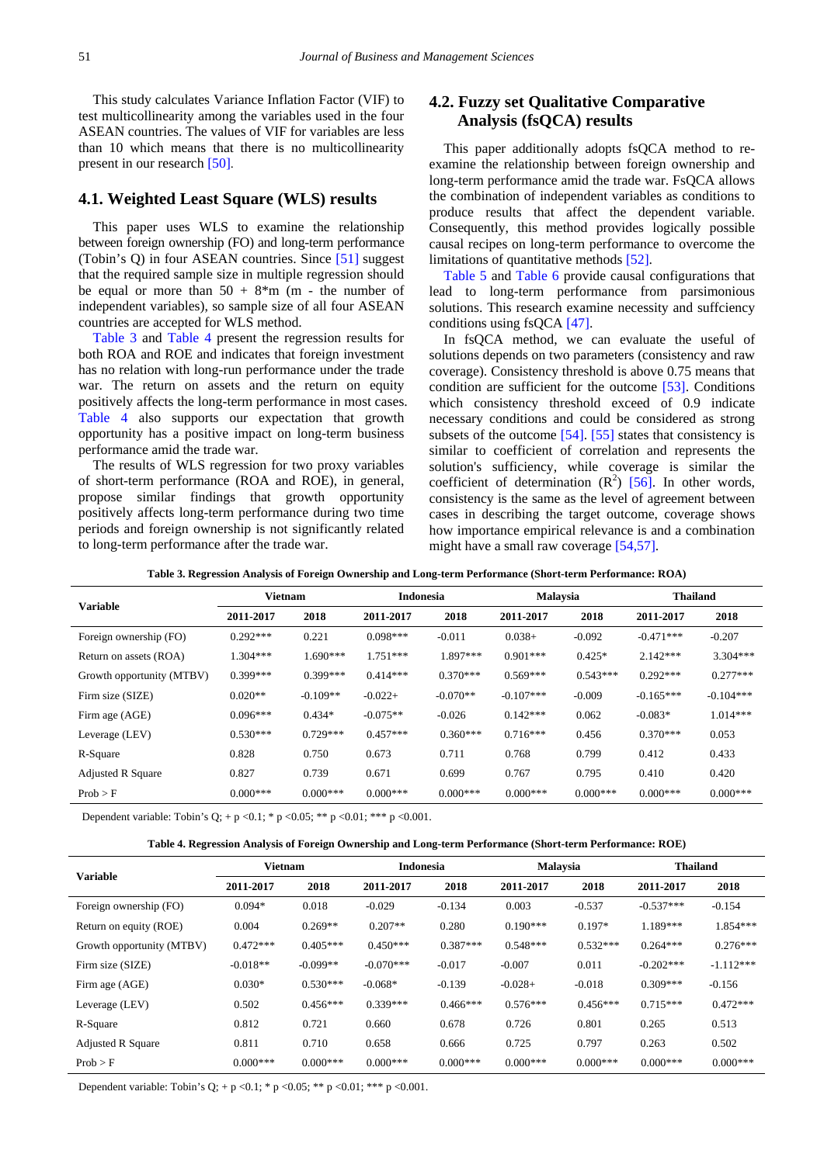This study calculates Variance Inflation Factor (VIF) to test multicollinearity among the variables used in the four ASEAN countries. The values of VIF for variables are less than 10 which means that there is no multicollinearity present in our research [\[50\].](#page-6-8)

#### **4.1. Weighted Least Square (WLS) results**

This paper uses WLS to examine the relationship between foreign ownership (FO) and long-term performance (Tobin's Q) in four ASEAN countries. Since [\[51\]](#page-6-9) suggest that the required sample size in multiple regression should be equal or more than  $50 + 8*$ m (m - the number of independent variables), so sample size of all four ASEAN countries are accepted for WLS method.

[Table 3](#page-3-0) and [Table 4](#page-3-1) present the regression results for both ROA and ROE and indicates that foreign investment has no relation with long-run performance under the trade war. The return on assets and the return on equity positively affects the long-term performance in most cases. [Table 4](#page-3-1) also supports our expectation that growth opportunity has a positive impact on long-term business performance amid the trade war.

The results of WLS regression for two proxy variables of short-term performance (ROA and ROE), in general, propose similar findings that growth opportunity positively affects long-term performance during two time periods and foreign ownership is not significantly related to long-term performance after the trade war.

## **4.2. Fuzzy set Qualitative Comparative Analysis (fsQCA) results**

This paper additionally adopts fsQCA method to reexamine the relationship between foreign ownership and long-term performance amid the trade war. FsQCA allows the combination of independent variables as conditions to produce results that affect the dependent variable. Consequently, this method provides logically possible causal recipes on long-term performance to overcome the limitations of quantitative methods [\[52\].](#page-6-10)

[Table 5](#page-4-0) and [Table 6](#page-4-1) provide causal configurations that lead to long-term performance from parsimonious solutions. This research examine necessity and suffciency conditions using fsQCA [\[47\].](#page-6-6)

In fsQCA method, we can evaluate the useful of solutions depends on two parameters (consistency and raw coverage). Consistency threshold is above 0.75 means that condition are sufficient for the outcome [\[53\].](#page-6-11) Conditions which consistency threshold exceed of 0.9 indicate necessary conditions and could be considered as strong subsets of the outcome [\[54\].](#page-6-12) [\[55\]](#page-6-13) states that consistency is similar to coefficient of correlation and represents the solution's sufficiency, while coverage is similar the coefficient of determination  $(R^2)$  [\[56\].](#page-6-14) In other words, consistency is the same as the level of agreement between cases in describing the target outcome, coverage shows how importance empirical relevance is and a combination might have a small raw coverag[e \[54,57\].](#page-6-12)

**Table 3. Regression Analysis of Foreign Ownership and Long-term Performance (Short-term Performance: ROA)**

<span id="page-3-0"></span>

|                           |            | <b>Vietnam</b> |            | <b>Indonesia</b> |             | <b>Malaysia</b> | <b>Thailand</b> |             |
|---------------------------|------------|----------------|------------|------------------|-------------|-----------------|-----------------|-------------|
| <b>Variable</b>           | 2011-2017  | 2018           | 2011-2017  | 2018             | 2011-2017   | 2018            | 2011-2017       | 2018        |
| Foreign ownership (FO)    | $0.292***$ | 0.221          | $0.098***$ | $-0.011$         | $0.038+$    | $-0.092$        | $-0.471***$     | $-0.207$    |
| Return on assets (ROA)    | $1.304***$ | $1.690***$     | $1.751***$ | 1.897 ***        | $0.901***$  | $0.425*$        | $2.142***$      | $3.304***$  |
| Growth opportunity (MTBV) | $0.399***$ | $0.399***$     | $0.414***$ | $0.370***$       | $0.569***$  | $0.543***$      | $0.292***$      | $0.277***$  |
| Firm size (SIZE)          | $0.020**$  | $-0.109**$     | $-0.022+$  | $-0.070**$       | $-0.107***$ | $-0.009$        | $-0.165***$     | $-0.104***$ |
| Firm age (AGE)            | $0.096***$ | $0.434*$       | $-0.075**$ | $-0.026$         | $0.142***$  | 0.062           | $-0.083*$       | $1.014***$  |
| Leverage (LEV)            | $0.530***$ | $0.729***$     | $0.457***$ | $0.360***$       | $0.716***$  | 0.456           | $0.370***$      | 0.053       |
| R-Square                  | 0.828      | 0.750          | 0.673      | 0.711            | 0.768       | 0.799           | 0.412           | 0.433       |
| <b>Adjusted R Square</b>  | 0.827      | 0.739          | 0.671      | 0.699            | 0.767       | 0.795           | 0.410           | 0.420       |
| Prob > F                  | $0.000***$ | $0.000***$     | $0.000***$ | $0.000***$       | $0.000***$  | $0.000***$      | $0.000***$      | $0.000***$  |

Dependent variable: Tobin's Q; + p <0.1; \* p <0.05; \*\* p <0.01; \*\*\* p <0.001.

| Table 4. Regression Analysis of Foreign Ownership and Long-term Performance (Short-term Performance: ROE) |  |  |  |  |  |
|-----------------------------------------------------------------------------------------------------------|--|--|--|--|--|
|-----------------------------------------------------------------------------------------------------------|--|--|--|--|--|

<span id="page-3-1"></span>

| <b>Variable</b>           |            | <b>Vietnam</b> |             | Indonesia  |            | Malaysia   |             | <b>Thailand</b> |  |
|---------------------------|------------|----------------|-------------|------------|------------|------------|-------------|-----------------|--|
|                           | 2011-2017  | 2018           | 2011-2017   | 2018       | 2011-2017  | 2018       | 2011-2017   | 2018            |  |
| Foreign ownership (FO)    | $0.094*$   | 0.018          | $-0.029$    | $-0.134$   | 0.003      | $-0.537$   | $-0.537***$ | $-0.154$        |  |
| Return on equity (ROE)    | 0.004      | $0.269**$      | $0.207**$   | 0.280      | $0.190***$ | $0.197*$   | $1.189***$  | $1.854***$      |  |
| Growth opportunity (MTBV) | $0.472***$ | $0.405***$     | $0.450***$  | $0.387***$ | $0.548***$ | $0.532***$ | $0.264***$  | $0.276***$      |  |
| Firm size (SIZE)          | $-0.018**$ | $-0.099**$     | $-0.070***$ | $-0.017$   | $-0.007$   | 0.011      | $-0.202***$ | $-1.112***$     |  |
| Firm age (AGE)            | $0.030*$   | $0.530***$     | $-0.068*$   | $-0.139$   | $-0.028+$  | $-0.018$   | $0.309***$  | $-0.156$        |  |
| Leverage (LEV)            | 0.502      | $0.456***$     | $0.339***$  | $0.466***$ | $0.576***$ | $0.456***$ | $0.715***$  | $0.472***$      |  |
| R-Square                  | 0.812      | 0.721          | 0.660       | 0.678      | 0.726      | 0.801      | 0.265       | 0.513           |  |
| <b>Adjusted R Square</b>  | 0.811      | 0.710          | 0.658       | 0.666      | 0.725      | 0.797      | 0.263       | 0.502           |  |
| Prob > F                  | $0.000***$ | $0.000***$     | $0.000***$  | $0.000***$ | $0.000***$ | $0.000***$ | $0.000***$  | $0.000***$      |  |

Dependent variable: Tobin's  $Q$ ; + p < 0.1; \* p < 0.05; \*\* p < 0.01; \*\*\* p < 0.001.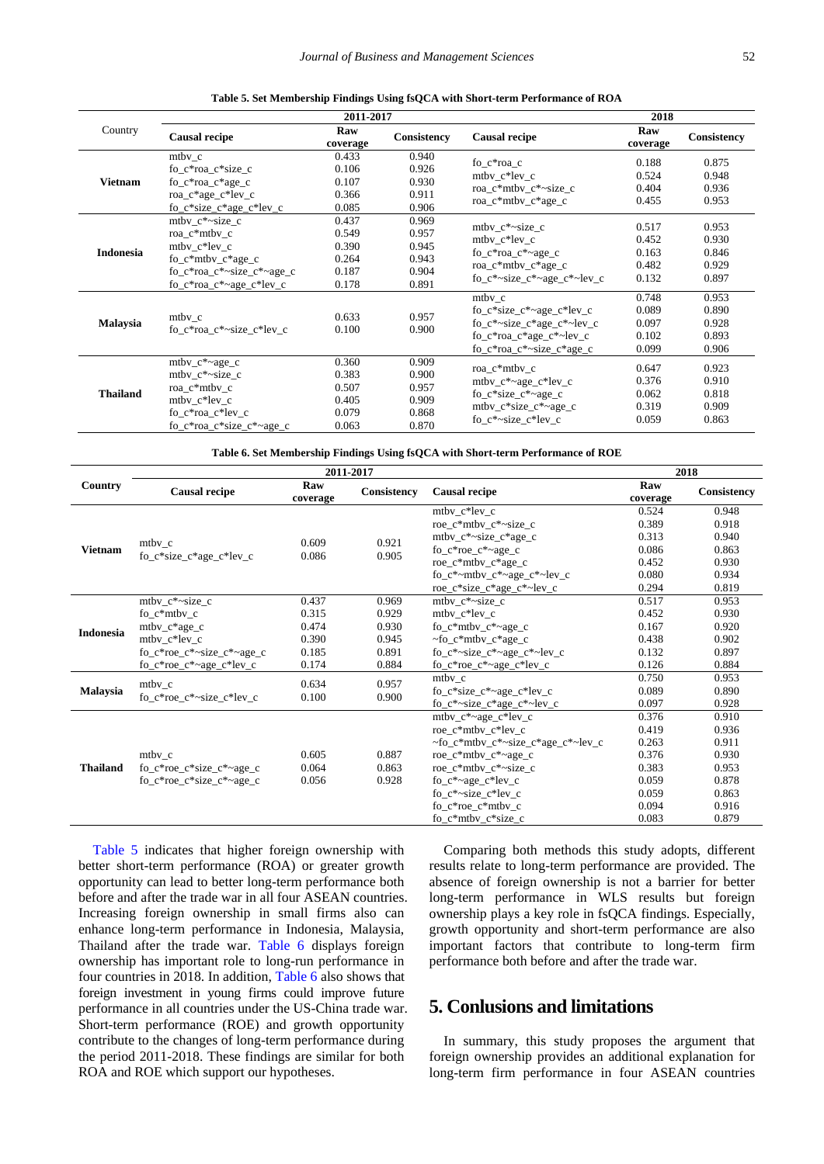| Table 5. Set Membership Findings Using fsQCA with Short-term Performance of ROA |  |  |
|---------------------------------------------------------------------------------|--|--|
|                                                                                 |  |  |

<span id="page-4-0"></span>

| 2011-2017<br>2018 |                                                                                                                                      |                                                    |                                                    |                                                                                                                                    |                                           |                                           |  |  |
|-------------------|--------------------------------------------------------------------------------------------------------------------------------------|----------------------------------------------------|----------------------------------------------------|------------------------------------------------------------------------------------------------------------------------------------|-------------------------------------------|-------------------------------------------|--|--|
| Country           | <b>Causal recipe</b>                                                                                                                 | Raw<br>coverage                                    | <b>Consistency</b>                                 | <b>Causal recipe</b>                                                                                                               | Raw<br>coverage                           | Consistency                               |  |  |
| <b>Vietnam</b>    | $m$ tbv_c<br>fo_c*roa_c*size_c<br>fo_ $c*$ roa_ $c*$ age_ $c$<br>roa_c*age_c*lev_c<br>fo_c*size_c*age_c*lev_c                        | 0.433<br>0.106<br>0.107<br>0.366<br>0.085          | 0.940<br>0.926<br>0.930<br>0.911<br>0.906          | fo c*roa c<br>$m$ tbv_c*lev_c<br>roa_c*mtbv_c*~size_c<br>roa_c*mtbv_c*age_c                                                        | 0.188<br>0.524<br>0.404<br>0.455          | 0.875<br>0.948<br>0.936<br>0.953          |  |  |
| Indonesia         | mtby c*~size c<br>roa c*mtbv c<br>$m$ tbv_c*lev_c<br>$fo_c*$ mtbv $_c*age_c$<br>fo c*roa c*~size c*~age c<br>fo_c*roa_c*~age_c*lev_c | 0.437<br>0.549<br>0.390<br>0.264<br>0.187<br>0.178 | 0.969<br>0.957<br>0.945<br>0.943<br>0.904<br>0.891 | mtby $c^*$ ~size c<br>mtby c*lev c<br>fo_ $c*$ roa_ $c*$ ~age_ $c$<br>roa_c*mtbv_c*age_c<br>fo $c^*$ ~size $c^*$ ~age $c^*$ ~lev c | 0.517<br>0.452<br>0.163<br>0.482<br>0.132 | 0.953<br>0.930<br>0.846<br>0.929<br>0.897 |  |  |
| <b>Malaysia</b>   | mtby c<br>fo c*roa_c*~size_c*lev_c                                                                                                   | 0.633<br>0.100                                     | 0.957<br>0.900                                     | mtby c<br>fo_c*size_c*~age_c*lev_c<br>fo $c^*$ ~size $c^*$ age $c^*$ ~lev c<br>fo_c*roa_c*age_c*~lev_c<br>fo_c*roa_c*~size_c*age_c | 0.748<br>0.089<br>0.097<br>0.102<br>0.099 | 0.953<br>0.890<br>0.928<br>0.893<br>0.906 |  |  |
| <b>Thailand</b>   | mtbv_c*~age_c<br>$m$ tbv_c*~size_c<br>roa c*mtbv c<br>$m$ tbv_c*lev_c<br>fo c*roa c*lev c<br>fo_c*roa_c*size_c*~age_c                | 0.360<br>0.383<br>0.507<br>0.405<br>0.079<br>0.063 | 0.909<br>0.900<br>0.957<br>0.909<br>0.868<br>0.870 | roa c*mtby c<br>mtbv_c*~age_c*lev_c<br>$fo_c*size_c*~age_c$<br>$m$ tbv_c*size_c*~age_c<br>fo_c*~size_c*lev_c                       | 0.647<br>0.376<br>0.062<br>0.319<br>0.059 | 0.923<br>0.910<br>0.818<br>0.909<br>0.863 |  |  |

**Table 6. Set Membership Findings Using fsQCA with Short-term Performance of ROE**

<span id="page-4-1"></span>

|                  |                                                                       |                 |             | 2018                                                  |                 |             |
|------------------|-----------------------------------------------------------------------|-----------------|-------------|-------------------------------------------------------|-----------------|-------------|
| Country          | <b>Causal recipe</b>                                                  | Raw<br>coverage | Consistency | <b>Causal recipe</b>                                  | Raw<br>coverage | Consistency |
|                  |                                                                       |                 |             | $m$ tbv_c*lev_c                                       | 0.524           | 0.948       |
|                  |                                                                       |                 |             | roe_ $c^*$ mtby_ $c^*$ ~size_ $c$                     | 0.389           | 0.918       |
| <b>Vietnam</b>   |                                                                       | 0.609           | 0.921       | mtbv_c*~size_c*age_c                                  | 0.313           | 0.940       |
|                  | $m$ tbv_c<br>$\frac{6-c}{\text{size}}c^* \text{age}_c^* \text{lev}_c$ | 0.086           | 0.905       | fo_ $c*$ roe_ $c*$ ~age_c                             | 0.086           | 0.863       |
|                  |                                                                       |                 |             | roe_c*mtbv_c*age_c                                    | 0.452           | 0.930       |
|                  |                                                                       |                 |             | fo_c*~mtbv_c*~age_c*~lev_c                            | 0.080           | 0.934       |
|                  |                                                                       |                 |             | roe_c*size_c*age_c*~lev_c                             | 0.294           | 0.819       |
|                  | $m$ tbv_c*~size_c                                                     | 0.437           | 0.969       | mtby $c^*$ ~size $c$                                  | 0.517           | 0.953       |
| <b>Indonesia</b> | $fo_c*mtbv_c$                                                         | 0.315           | 0.929       | mtby c*lev c                                          | 0.452           | 0.930       |
|                  | $m$ tbv_ $c$ *age_ $c$                                                | 0.474           | 0.930       | fo $c*$ mtby $c*$ ~age c                              | 0.167           | 0.920       |
|                  | mtby c*lev c                                                          | 0.390           | 0.945       | $\sim$ fo c*mtby c*age c                              | 0.438           | 0.902       |
|                  | fo_c*roe_c*~size_c*~age_c                                             | 0.185           | 0.891       | fo_c*~size_c*~age_c*~lev_c                            | 0.132           | 0.897       |
|                  | fo_c*roe_c*~age_c*lev_c                                               | 0.174           | 0.884       | fo $c*$ roe $c*$ ~age $c*$ lev c                      | 0.126           | 0.884       |
|                  | $m$ tbv_c                                                             | 0.634           | 0.957       | mtby c                                                | 0.750           | 0.953       |
| Malaysia         | fo c*roe_c*~size_c*lev_c                                              | 0.100           | 0.900       | fo_c*size_c*~age_c*lev_c                              | 0.089           | 0.890       |
|                  |                                                                       |                 |             | fo_c*~size_c*age_c*~lev_c                             | 0.097           | 0.928       |
|                  |                                                                       |                 |             | $m$ tbv_c*~age_c*lev_c                                | 0.376           | 0.910       |
|                  |                                                                       |                 |             | $roe_c*mtbv_c*lev_c$                                  | 0.419           | 0.936       |
|                  |                                                                       |                 |             | $\sim$ fo c*mtby c* $\sim$ size c*age c* $\sim$ lev c | 0.263           | 0.911       |
|                  | mtby c                                                                | 0.605           | 0.887       | roe_c*mtbv_c*~age_c                                   | 0.376           | 0.930       |
| <b>Thailand</b>  | fo_c*roe_c*size_c*~age_c                                              | 0.064           | 0.863       | roe_c*mtbv_c*~size_c                                  | 0.383           | 0.953       |
|                  | fo $c^*$ roe $c^*$ size $c^*$ ~age c                                  | 0.056           | 0.928       | fo_ $c^*$ ~age_ $c^*$ lev_c                           | 0.059           | 0.878       |
|                  |                                                                       |                 |             | fo $c^*$ ~size $c^*$ lev c                            | 0.059           | 0.863       |
|                  |                                                                       |                 |             | $fo_c*roe_c*mtbv_c$                                   | 0.094           | 0.916       |
|                  |                                                                       |                 |             | fo_c*mtbv_c*size_c                                    | 0.083           | 0.879       |

[Table 5](#page-4-0) indicates that higher foreign ownership with better short-term performance (ROA) or greater growth opportunity can lead to better long-term performance both before and after the trade war in all four ASEAN countries. Increasing foreign ownership in small firms also can enhance long-term performance in Indonesia, Malaysia, Thailand after the trade war. [Table 6](#page-4-1) displays foreign ownership has important role to long-run performance in four countries in 2018. In addition, [Table 6](#page-4-1) also shows that foreign investment in young firms could improve future performance in all countries under the US-China trade war. Short-term performance (ROE) and growth opportunity contribute to the changes of long-term performance during the period 2011-2018. These findings are similar for both ROA and ROE which support our hypotheses.

Comparing both methods this study adopts, different results relate to long-term performance are provided. The absence of foreign ownership is not a barrier for better long-term performance in WLS results but foreign ownership plays a key role in fsQCA findings. Especially, growth opportunity and short-term performance are also important factors that contribute to long-term firm performance both before and after the trade war.

# **5. Conlusions and limitations**

In summary, this study proposes the argument that foreign ownership provides an additional explanation for long-term firm performance in four ASEAN countries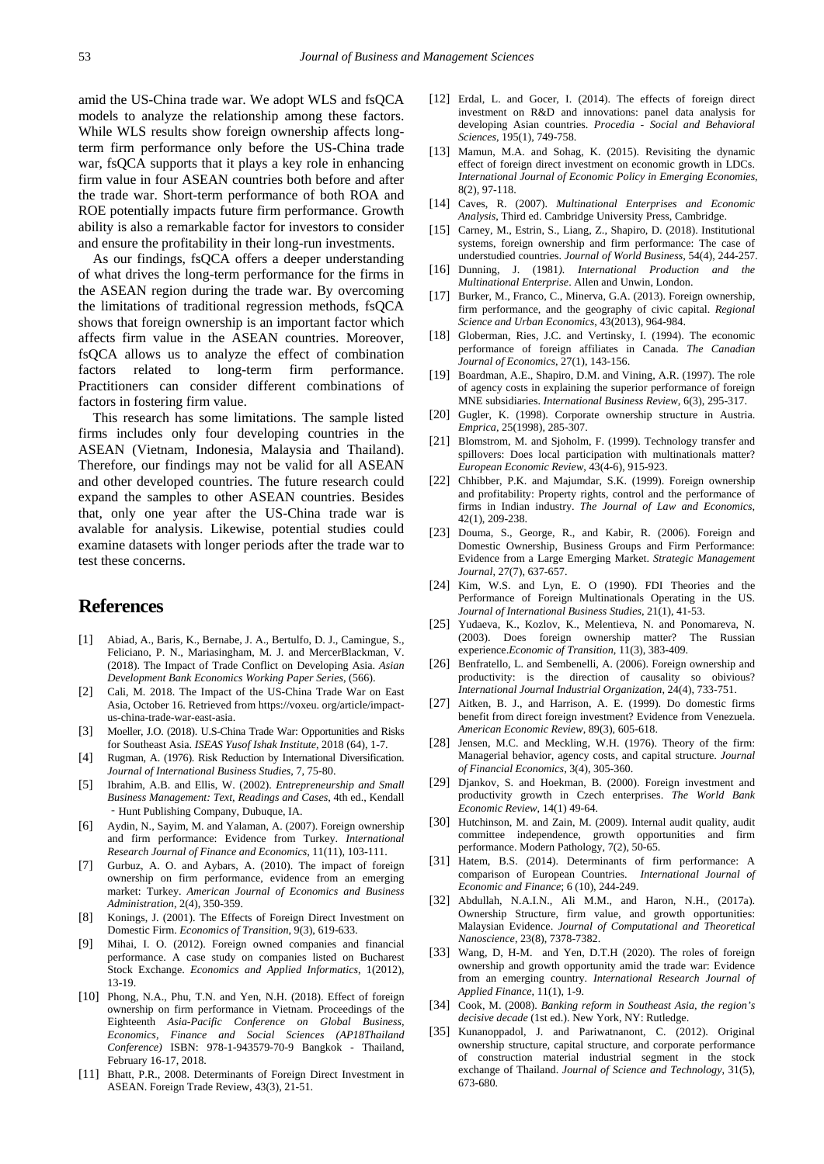amid the US-China trade war. We adopt WLS and fsQCA models to analyze the relationship among these factors. While WLS results show foreign ownership affects longterm firm performance only before the US-China trade war, fsQCA supports that it plays a key role in enhancing firm value in four ASEAN countries both before and after the trade war. Short-term performance of both ROA and ROE potentially impacts future firm performance. Growth ability is also a remarkable factor for investors to consider and ensure the profitability in their long-run investments.

As our findings, fsQCA offers a deeper understanding of what drives the long-term performance for the firms in the ASEAN region during the trade war. By overcoming the limitations of traditional regression methods, fsQCA shows that foreign ownership is an important factor which affects firm value in the ASEAN countries. Moreover, fsQCA allows us to analyze the effect of combination factors related to long-term firm performance. Practitioners can consider different combinations of factors in fostering firm value.

This research has some limitations. The sample listed firms includes only four developing countries in the ASEAN (Vietnam, Indonesia, Malaysia and Thailand). Therefore, our findings may not be valid for all ASEAN and other developed countries. The future research could expand the samples to other ASEAN countries. Besides that, only one year after the US-China trade war is avalable for analysis. Likewise, potential studies could examine datasets with longer periods after the trade war to test these concerns.

#### **References**

- <span id="page-5-0"></span>[1] Abiad, A., Baris, K., Bernabe, J. A., Bertulfo, D. J., Camingue, S., Feliciano, P. N., Mariasingham, M. J. and MercerBlackman, V. (2018). The Impact of Trade Conflict on Developing Asia. *Asian Development Bank Economics Working Paper Series*, (566).
- [2] Cali, M. 2018. The Impact of the US-China Trade War on East Asia, October 16. Retrieved from https://voxeu. org/article/impactus-china-trade-war-east-asia.
- <span id="page-5-6"></span>[3] Moeller, J.O. (2018). U.S-China Trade War: Opportunities and Risks for Southeast Asia. *ISEAS Yusof Ishak Institute*, 2018 (64), 1-7.
- <span id="page-5-1"></span>[4] Rugman, A. (1976). Risk Reduction by International Diversification. *Journal of International Business Studies*, 7, 75-80.
- <span id="page-5-2"></span>[5] Ibrahim, A.B. and Ellis, W. (2002). *Entrepreneurship and Small Business Management: Text, Readings and Cases*, 4th ed., Kendall ‐Hunt Publishing Company, Dubuque, IA.
- <span id="page-5-3"></span>[6] Aydin, N., Sayim, M. and Yalaman, A. (2007). Foreign ownership and firm performance: Evidence from Turkey. *International Research Journal of Finance and Economics*, 11(11), 103-111.
- [7] Gurbuz, A. O. and Aybars, A. (2010). The impact of foreign ownership on firm performance, evidence from an emerging market: Turkey. *American Journal of Economics and Business Administration*, 2(4), 350-359.
- <span id="page-5-15"></span>[8] Konings, J. (2001). The Effects of Foreign Direct Investment on Domestic Firm. *Economics of Transition*, 9(3), 619-633.
- <span id="page-5-18"></span>[9] Mihai, I. O. (2012). Foreign owned companies and financial performance. A case study on companies listed on Bucharest Stock Exchange. *Economics and Applied Informatics*, 1(2012), 13-19.
- [10] Phong, N.A., Phu, T.N. and Yen, N.H. (2018). Effect of foreign ownership on firm performance in Vietnam. Proceedings of the Eighteenth *Asia-Pacific Conference on Global Business, Economics, Finance and Social Sciences (AP18Thailand Conference)* ISBN: 978-1-943579-70-9 Bangkok - Thailand, February 16-17, 2018.
- <span id="page-5-4"></span>[11] Bhatt, P.R., 2008. Determinants of Foreign Direct Investment in ASEAN. Foreign Trade Review, 43(3), 21-51.
- <span id="page-5-5"></span>[12] Erdal, L. and Gocer, I. (2014). The effects of foreign direct investment on R&D and innovations: panel data analysis for developing Asian countries. *Procedia - Social and Behavioral Sciences*, 195(1), 749-758.
- [13] Mamun, M.A. and Sohag, K. (2015). Revisiting the dynamic effect of foreign direct investment on economic growth in LDCs. *International Journal of Economic Policy in Emerging Economies*, 8(2), 97-118.
- <span id="page-5-7"></span>[14] Caves, R. (2007). *Multinational Enterprises and Economic Analysis*, Third ed. Cambridge University Press, Cambridge.
- [15] Carney, M., Estrin, S., Liang, Z., Shapiro, D. (2018). Institutional systems, foreign ownership and firm performance: The case of understudied countries. *Journal of World Business*, 54(4), 244-257.
- <span id="page-5-8"></span>[16] Dunning, J. (1981*). International Production and the Multinational Enterprise*. Allen and Unwin, London.
- <span id="page-5-9"></span>[17] Burker, M., Franco, C., Minerva, G.A. (2013). Foreign ownership, firm performance, and the geography of civic capital. *Regional Science and Urban Economics*, 43(2013), 964-984.
- <span id="page-5-10"></span>[18] Globerman, Ries, J.C. and Vertinsky, I. (1994). The economic performance of foreign affiliates in Canada. *The Canadian Journal of Economics*, 27(1), 143-156.
- <span id="page-5-11"></span>[19] Boardman, A.E., Shapiro, D.M. and Vining, A.R. (1997). The role of agency costs in explaining the superior performance of foreign MNE subsidiaries. *International Business Review*, 6(3), 295-317.
- [20] Gugler, K. (1998). Corporate ownership structure in Austria. *Emprica*, 25(1998), 285-307.
- <span id="page-5-12"></span>[21] Blomstrom, M. and Sjoholm, F. (1999). Technology transfer and spillovers: Does local participation with multinationals matter? *European Economic Review*, 43(4-6), 915-923.
- <span id="page-5-13"></span>[22] Chhibber, P.K. and Majumdar, S.K. (1999). Foreign ownership and profitability: Property rights, control and the performance of firms in Indian industry. *The Journal of Law and Economics*, 42(1), 209-238.
- [23] Douma, S., George, R., and Kabir, R. (2006). Foreign and Domestic Ownership, Business Groups and Firm Performance: Evidence from a Large Emerging Market. *Strategic Management Journal*, 27(7), 637-657.
- <span id="page-5-14"></span>[24] Kim, W.S. and Lyn, E. O (1990). FDI Theories and the Performance of Foreign Multinationals Operating in the US. *Journal of International Business Studies*, 21(1), 41-53.
- <span id="page-5-16"></span>[25] Yudaeva, K., Kozlov, K., Melentieva, N. and Ponomareva, N. (2003). Does foreign ownership matter? The Russian experience.*Economic of Transition*, 11(3), 383-409.
- <span id="page-5-17"></span>[26] Benfratello, L. and Sembenelli, A. (2006). Foreign ownership and productivity: is the direction of causality so obivious? *International Journal Industrial Organization*, 24(4), 733-751.
- [27] Aitken, B. J., and Harrison, A. E. (1999). Do domestic firms benefit from direct foreign investment? Evidence from Venezuela. *American Economic Review*, 89(3), 605-618.
- <span id="page-5-19"></span>[28] Jensen, M.C. and Meckling, W.H. (1976). Theory of the firm: Managerial behavior, agency costs, and capital structure. *Journal of Financial Economics*, 3(4), 305-360.
- <span id="page-5-20"></span>[29] Djankov, S. and Hoekman, B. (2000). Foreign investment and productivity growth in Czech enterprises. *The World Bank Economic Review*, 14(1) 49-64.
- <span id="page-5-21"></span>[30] Hutchinson, M. and Zain, M. (2009). Internal audit quality, audit committee independence, growth opportunities and firm performance. Modern Pathology, 7(2), 50-65.
- <span id="page-5-22"></span>[31] Hatem, B.S. (2014). Determinants of firm performance: A comparison of European Countries. *International Journal of Economic and Finance*; 6 (10), 244-249.
- <span id="page-5-23"></span>[32] Abdullah, N.A.I.N., Ali M.M., and Haron, N.H., (2017a). Ownership Structure, firm value, and growth opportunities: Malaysian Evidence. *Journal of Computational and Theoretical Nanoscience*, 23(8), 7378-7382.
- <span id="page-5-24"></span>[33] Wang, D, H-M. and Yen, D.T.H (2020). The roles of foreign ownership and growth opportunity amid the trade war: Evidence from an emerging country. *International Research Journal of Applied Finance*, 11(1), 1-9.
- <span id="page-5-25"></span>[34] Cook, M. (2008). *Banking reform in Southeast Asia, the region's decisive decade* (1st ed.). New York, NY: Rutledge.
- <span id="page-5-26"></span>[35] Kunanoppadol, J. and Pariwatnanont, C. (2012). Original ownership structure, capital structure, and corporate performance of construction material industrial segment in the stock exchange of Thailand. *Journal of Science and Technology*, 31(5), 673-680.